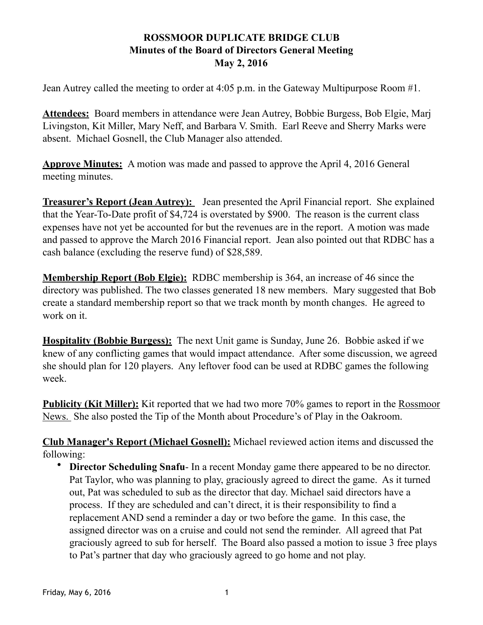## **ROSSMOOR DUPLICATE BRIDGE CLUB Minutes of the Board of Directors General Meeting May 2, 2016**

Jean Autrey called the meeting to order at 4:05 p.m. in the Gateway Multipurpose Room #1.

**Attendees:** Board members in attendance were Jean Autrey, Bobbie Burgess, Bob Elgie, Marj Livingston, Kit Miller, Mary Neff, and Barbara V. Smith. Earl Reeve and Sherry Marks were absent. Michael Gosnell, the Club Manager also attended.

**Approve Minutes:** A motion was made and passed to approve the April 4, 2016 General meeting minutes.

**Treasurer's Report (Jean Autrey):** Jean presented the April Financial report. She explained that the Year-To-Date profit of \$4,724 is overstated by \$900. The reason is the current class expenses have not yet be accounted for but the revenues are in the report. A motion was made and passed to approve the March 2016 Financial report. Jean also pointed out that RDBC has a cash balance (excluding the reserve fund) of \$28,589.

**Membership Report (Bob Elgie):** RDBC membership is 364, an increase of 46 since the directory was published. The two classes generated 18 new members. Mary suggested that Bob create a standard membership report so that we track month by month changes. He agreed to work on it.

**Hospitality (Bobbie Burgess):** The next Unit game is Sunday, June 26. Bobbie asked if we knew of any conflicting games that would impact attendance. After some discussion, we agreed she should plan for 120 players. Any leftover food can be used at RDBC games the following week.

**Publicity (Kit Miller):** Kit reported that we had two more 70% games to report in the Rossmoor News. She also posted the Tip of the Month about Procedure's of Play in the Oakroom.

**Club Manager's Report (Michael Gosnell):** Michael reviewed action items and discussed the following:

**Director Scheduling Snafu-** In a recent Monday game there appeared to be no director. Pat Taylor, who was planning to play, graciously agreed to direct the game. As it turned out, Pat was scheduled to sub as the director that day. Michael said directors have a process. If they are scheduled and can't direct, it is their responsibility to find a replacement AND send a reminder a day or two before the game. In this case, the assigned director was on a cruise and could not send the reminder. All agreed that Pat graciously agreed to sub for herself. The Board also passed a motion to issue 3 free plays to Pat's partner that day who graciously agreed to go home and not play.